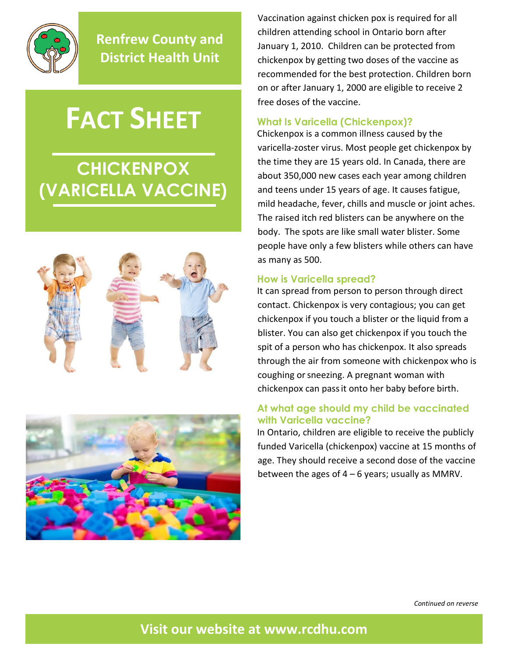

**Renfrew County and District Health Unit**

# **FACT SHEET**

# **CHICKENPOX (VARICELLA VACCINE)**





Vaccination against chicken pox is required for all children attending school in Ontario born after January 1, 2010. Children can be protected from chickenpox by getting two doses of the vaccine as recommended for the best protection. Children born on or after January 1, 2000 are eligible to receive 2 free doses of the vaccine.

### **What Is Varicella (Chickenpox)?**

Chickenpox is a common illness caused by the varicella-zoster virus. Most people get chickenpox by the time they are 15 years old. In Canada, there are about 350,000 new cases each year among children and teens under 15 years of age. It causes fatigue, mild headache, fever, chills and muscle or joint aches. The raised itch red blisters can be anywhere on the body. The spots are like small water blister. Some people have only a few blisters while others can have as many as 500.

#### **How is Varicella spread?**

It can spread from person to person through direct contact. Chickenpox is very contagious; you can get chickenpox if you touch a blister or the liquid from a blister. You can also get chickenpox if you touch the spit of a person who has chickenpox. It also spreads through the air from someone with chickenpox who is coughing or sneezing. A pregnant woman with chickenpox can passit onto her baby before birth.

#### **At what age should my child be vaccinated with Varicella vaccine?**

In Ontario, children are eligible to receive the publicly funded Varicella (chickenpox) vaccine at 15 months of age. They should receive a second dose of the vaccine between the ages of  $4 - 6$  years; usually as MMRV.

*Continued on reverse*

**Visit our website at [www.rcdhu.com](http://www.rcdhu.com/)**